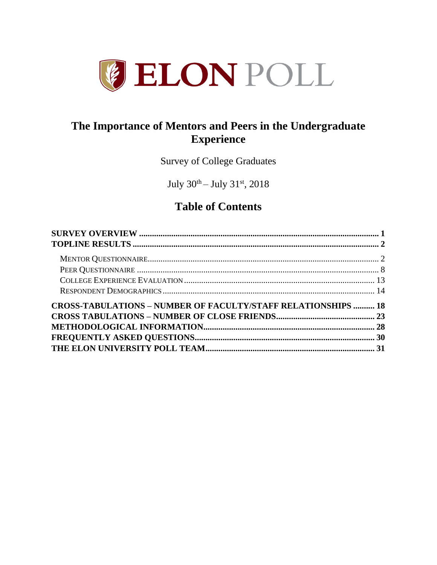

# **The Importance of Mentors and Peers in the Undergraduate Experience**

Survey of College Graduates

July  $30^{\text{th}} -$  July  $31^{\text{st}}$ , 2018

# **Table of Contents**

| <b>CROSS-TABULATIONS – NUMBER OF FACULTY/STAFF RELATIONSHIPS  18</b> |  |
|----------------------------------------------------------------------|--|
|                                                                      |  |
|                                                                      |  |
|                                                                      |  |
|                                                                      |  |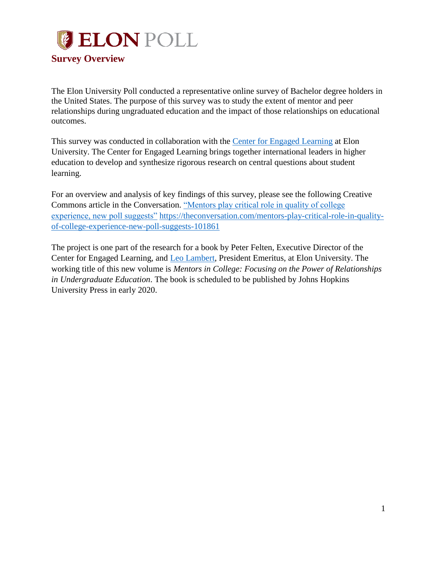<span id="page-1-0"></span>

The Elon University Poll conducted a representative online survey of Bachelor degree holders in the United States. The purpose of this survey was to study the extent of mentor and peer relationships during ungraduated education and the impact of those relationships on educational outcomes.

This survey was conducted in collaboration with the [Center for Engaged Learning](https://www.centerforengagedlearning.org/) at Elon University. The Center for Engaged Learning brings together international leaders in higher education to develop and synthesize rigorous research on central questions about student learning.

For an overview and analysis of key findings of this survey, please see the following Creative Commons article in the Conversation. ["Mentors play critical role in quality of college](https://theconversation.com/mentors-play-critical-role-in-quality-of-college-experience-new-poll-suggests-101861)  [experience, new poll suggests"](https://theconversation.com/mentors-play-critical-role-in-quality-of-college-experience-new-poll-suggests-101861) [https://theconversation.com/mentors-play-critical-role-in-quality](https://theconversation.com/mentors-play-critical-role-in-quality-of-college-experience-new-poll-suggests-101861)[of-college-experience-new-poll-suggests-101861](https://theconversation.com/mentors-play-critical-role-in-quality-of-college-experience-new-poll-suggests-101861)

The project is one part of the research for a book by Peter Felten, Executive Director of the Center for Engaged Learning, and [Leo Lambert,](https://www.elon.edu/u/administration/president/emeritus/) President Emeritus, at Elon University. The working title of this new volume is *Mentors in College: Focusing on the Power of Relationships in Undergraduate Education*. The book is scheduled to be published by Johns Hopkins University Press in early 2020.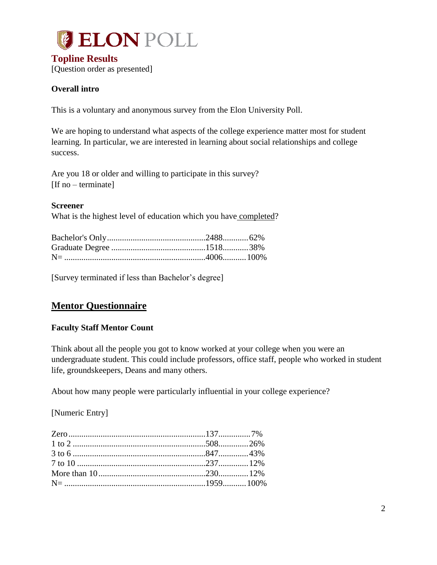<span id="page-2-0"></span>

#### **Overall intro**

This is a voluntary and anonymous survey from the Elon University Poll.

We are hoping to understand what aspects of the college experience matter most for student learning. In particular, we are interested in learning about social relationships and college success.

Are you 18 or older and willing to participate in this survey? [If no – terminate]

#### **Screener**

What is the highest level of education which you have completed?

[Survey terminated if less than Bachelor's degree]

# <span id="page-2-1"></span>**Mentor Questionnaire**

#### **Faculty Staff Mentor Count**

Think about all the people you got to know worked at your college when you were an undergraduate student. This could include professors, office staff, people who worked in student life, groundskeepers, Deans and many others.

About how many people were particularly influential in your college experience?

[Numeric Entry]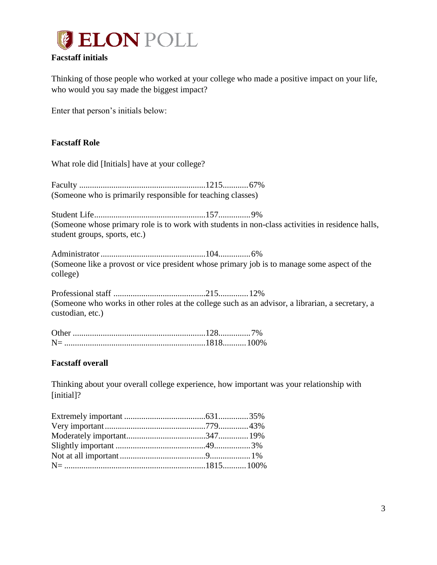

#### **Facstaff initials**

Thinking of those people who worked at your college who made a positive impact on your life, who would you say made the biggest impact?

Enter that person's initials below:

#### **Facstaff Role**

What role did [Initials] have at your college?

Faculty ...........................................................1215............67% (Someone who is primarily responsible for teaching classes)

Student Life....................................................157...............9% (Someone whose primary role is to work with students in non-class activities in residence halls, student groups, sports, etc.)

Administrator.................................................104...............6% (Someone like a provost or vice president whose primary job is to manage some aspect of the college)

Professional staff ...........................................215..............12% (Someone who works in other roles at the college such as an advisor, a librarian, a secretary, a custodian, etc.)

| <b>Other</b> |  |
|--------------|--|
|              |  |

#### **Facstaff overall**

Thinking about your overall college experience, how important was your relationship with [initial]?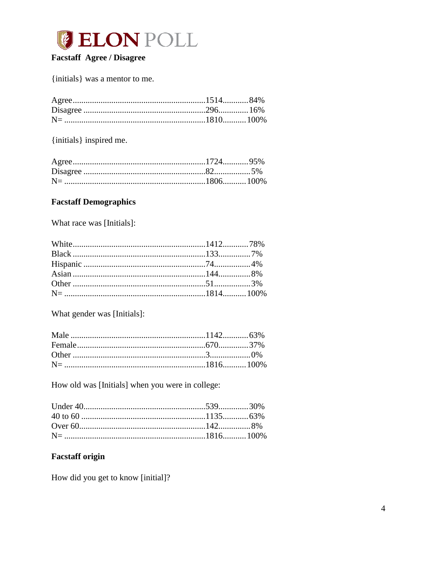

## **Facstaff Agree / Disagree**

{initials} was a mentor to me.

{initials} inspired me.

#### **Facstaff Demographics**

What race was [Initials]:

What gender was [Initials]:

How old was [Initials] when you were in college:

# **Facstaff origin**

How did you get to know [initial]?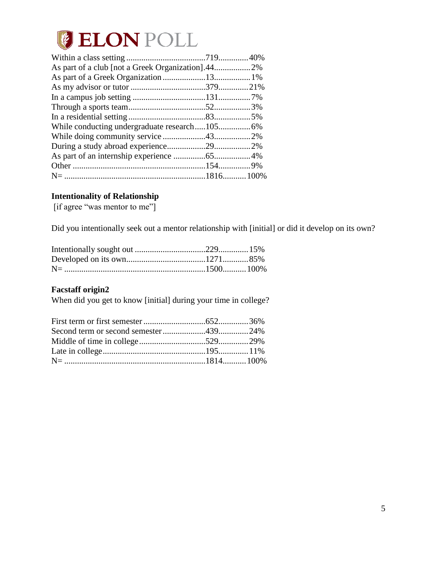

#### **Intentionality of Relationship**

[if agree "was mentor to me"]

Did you intentionally seek out a mentor relationship with [initial] or did it develop on its own?

#### **Facstaff origin2**

When did you get to know [initial] during your time in college?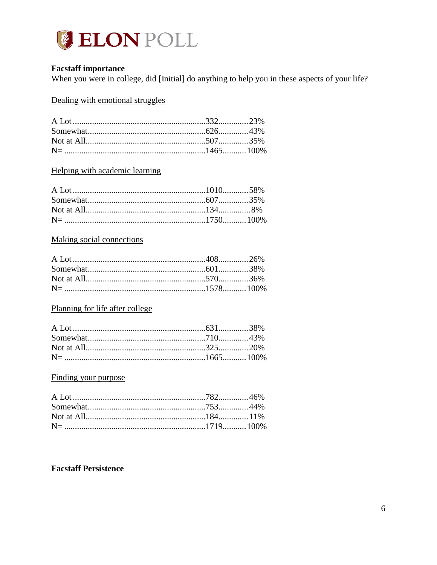

#### **Facstaff importance**

When you were in college, did [Initial] do anything to help you in these aspects of your life?

Dealing with emotional struggles

### Helping with academic learning

#### **Making social connections**

# Planning for life after college

# Finding your purpose

#### **Facstaff Persistence**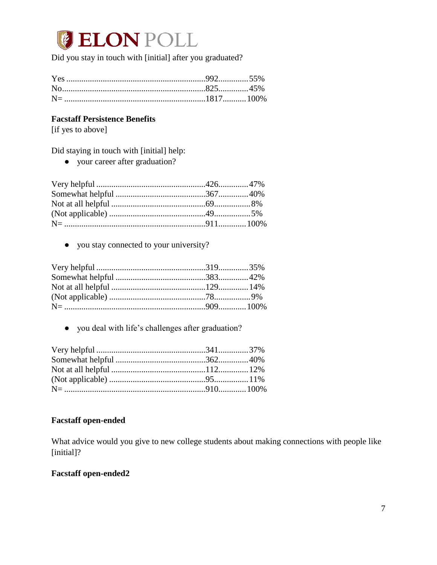# **JELON POLL**

Did you stay in touch with [initial] after you graduated?

#### **Facstaff Persistence Benefits**

[if yes to above]

Did staying in touch with [initial] help:

● your career after graduation?

● you stay connected to your university?

● you deal with life's challenges after graduation?

#### **Facstaff open-ended**

What advice would you give to new college students about making connections with people like [initial]?

#### **Facstaff open-ended2**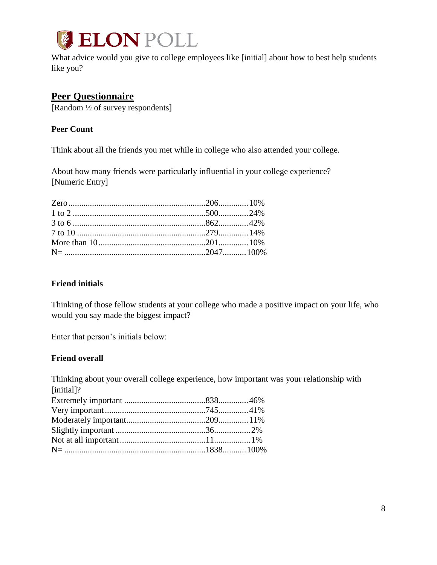

What advice would you give to college employees like [initial] about how to best help students like you?

## <span id="page-8-0"></span>**Peer Questionnaire**

[Random ½ of survey respondents]

#### **Peer Count**

Think about all the friends you met while in college who also attended your college.

About how many friends were particularly influential in your college experience? [Numeric Entry]

#### **Friend initials**

Thinking of those fellow students at your college who made a positive impact on your life, who would you say made the biggest impact?

Enter that person's initials below:

#### **Friend overall**

Thinking about your overall college experience, how important was your relationship with [initial]?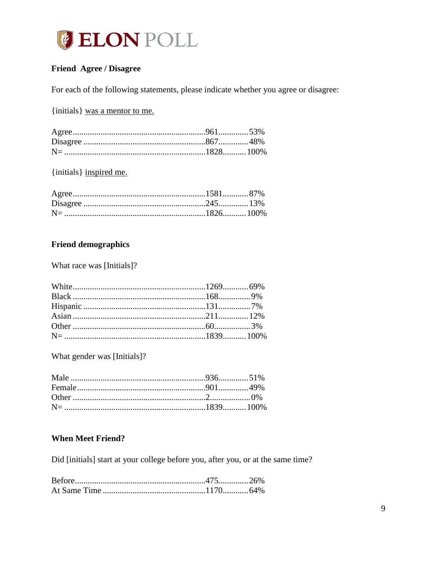

# **Friend Agree / Disagree**

For each of the following statements, please indicate whether you agree or disagree:

{initials} was a mentor to me.

{initials} inspired me.

## **Friend demographics**

What race was [Initials]?

What gender was [Initials]?

### **When Meet Friend?**

Did [initials] start at your college before you, after you, or at the same time?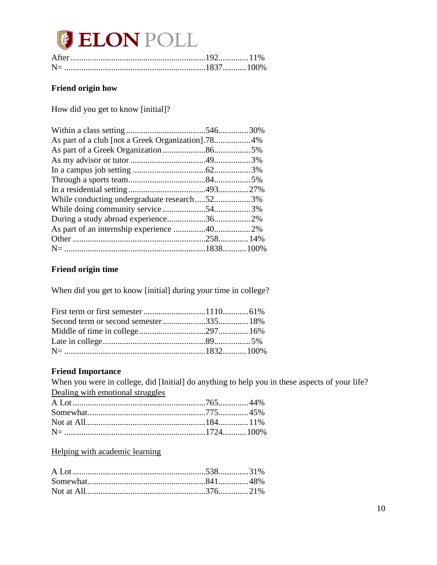# **JELON POLL**

# **Friend origin how**

How did you get to know [initial]?

| While conducting undergraduate research523% |  |
|---------------------------------------------|--|
|                                             |  |
|                                             |  |
|                                             |  |
|                                             |  |
|                                             |  |
|                                             |  |

# **Friend origin time**

When did you get to know [initial] during your time in college?

#### **Friend Importance**

When you were in college, did [Initial] do anything to help you in these aspects of your life? Dealing with emotional struggles

Helping with academic learning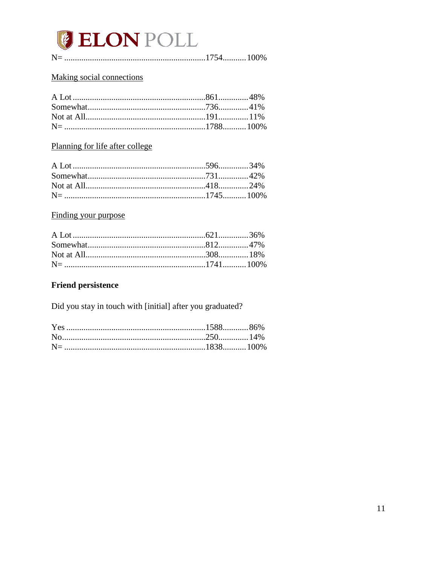

### Making social connections

# Planning for life after college

#### Finding your purpose

# **Friend persistence**

Did you stay in touch with [initial] after you graduated?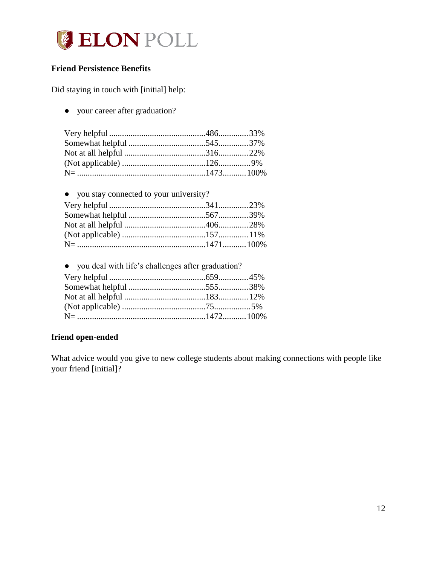

### **Friend Persistence Benefits**

Did staying in touch with [initial] help:

● your career after graduation?

| • you stay connected to your university? |  |
|------------------------------------------|--|
|                                          |  |
|                                          |  |
|                                          |  |
|                                          |  |
|                                          |  |

| • you deal with life's challenges after graduation? |  |
|-----------------------------------------------------|--|
|                                                     |  |
|                                                     |  |
|                                                     |  |
|                                                     |  |
|                                                     |  |

#### **friend open-ended**

What advice would you give to new college students about making connections with people like your friend [initial]?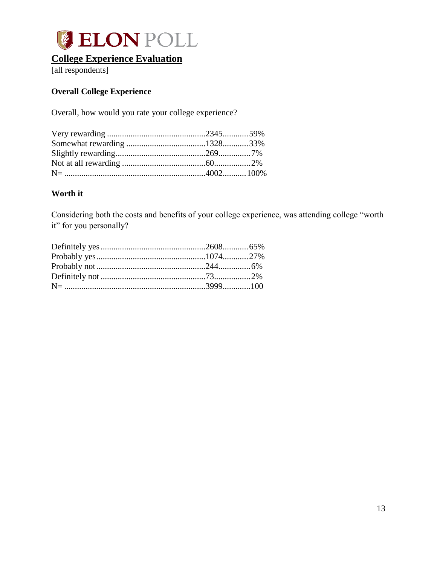

# <span id="page-13-0"></span>**College Experience Evaluation**

[all respondents]

## **Overall College Experience**

Overall, how would you rate your college experience?

#### **Worth it**

Considering both the costs and benefits of your college experience, was attending college "worth it" for you personally?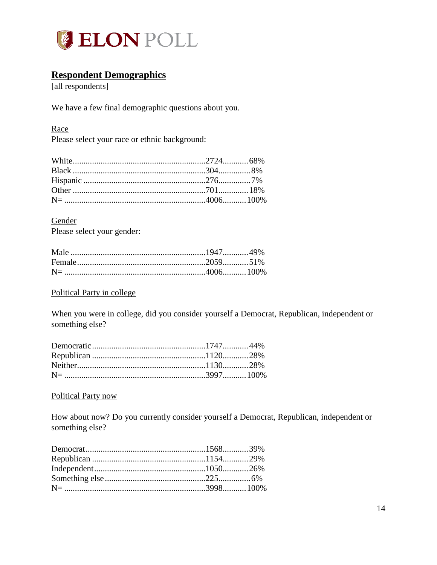

# <span id="page-14-0"></span>**Respondent Demographics**

[all respondents]

We have a few final demographic questions about you.

#### Race

Please select your race or ethnic background:

**Gender** Please select your gender:

#### Political Party in college

When you were in college, did you consider yourself a Democrat, Republican, independent or something else?

#### Political Party now

How about now? Do you currently consider yourself a Democrat, Republican, independent or something else?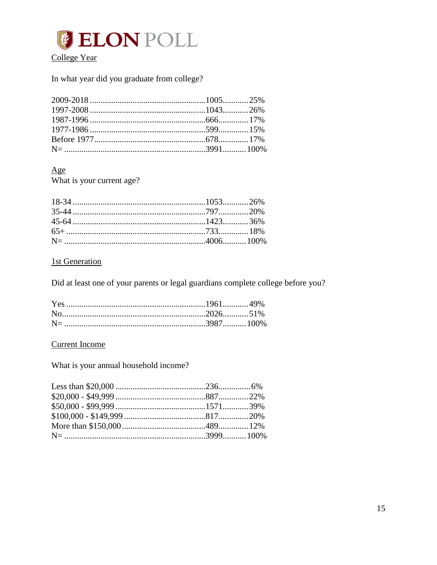

### In what year did you graduate from college?

## $\underline{Age}$

What is your current age?

# **1st Generation**

Did at least one of your parents or legal guardians complete college before you?

### **Current Income**

What is your annual household income?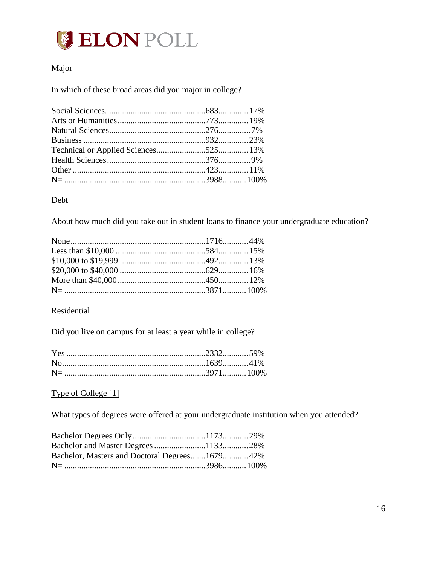# **GELON POLL**

# Major

In which of these broad areas did you major in college?

#### Debt

About how much did you take out in student loans to finance your undergraduate education?

#### **Residential**

Did you live on campus for at least a year while in college?

#### Type of College [1]

What types of degrees were offered at your undergraduate institution when you attended?

| Bachelor, Masters and Doctoral Degrees167942% |  |
|-----------------------------------------------|--|
|                                               |  |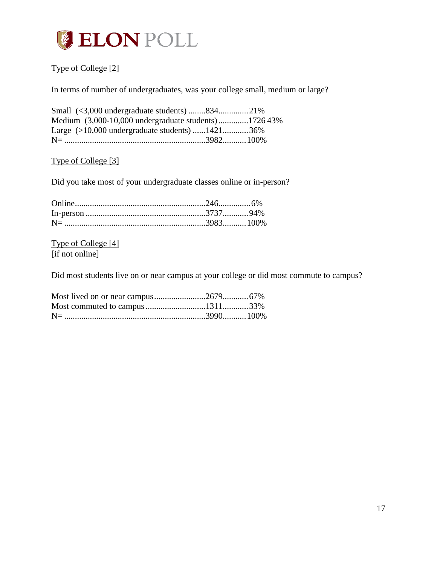

# Type of College [2]

In terms of number of undergraduates, was your college small, medium or large?

| Small (<3,000 undergraduate students)83421%         |  |
|-----------------------------------------------------|--|
| Medium (3,000-10,000 undergraduate students)172643% |  |
| Large $(>10,000$ undergraduate students) 142136%    |  |
|                                                     |  |

### Type of College [3]

Did you take most of your undergraduate classes online or in-person?

Type of College [4] [if not online]

Did most students live on or near campus at your college or did most commute to campus?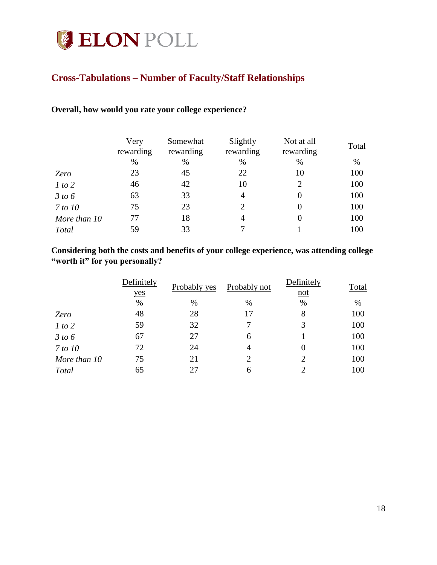# **CELON POLL**

# <span id="page-18-0"></span>**Cross-Tabulations – Number of Faculty/Staff Relationships**

#### **Overall, how would you rate your college experience?**

|              | Very<br>rewarding | Somewhat<br>rewarding | Slightly<br>rewarding | Not at all<br>rewarding | Total |
|--------------|-------------------|-----------------------|-----------------------|-------------------------|-------|
|              | $\%$              | $\%$                  | $\%$                  | %                       | %     |
| Zero         | 23                | 45                    | 22                    | 10                      | 100   |
| 1 to 2       | 46                | 42                    | 10                    | 2                       | 100   |
| 3 to 6       | 63                | 33                    | $\overline{4}$        | 0                       | 100   |
| 7 to 10      | 75                | 23                    | $\mathcal{D}_{\cdot}$ | $\Omega$                | 100   |
| More than 10 | 77                | 18                    | $\overline{4}$        | 0                       | 100   |
| Total        | 59                | 33                    |                       |                         | 100   |

#### **Considering both the costs and benefits of your college experience, was attending college "worth it" for you personally?**

|                | Definitely<br>yes | Probably yes | Probably not   | Definitely<br>$not$         | Total |
|----------------|-------------------|--------------|----------------|-----------------------------|-------|
|                | $\%$              | $\%$         | $\%$           | %                           | %     |
| Zero           | 48                | 28           | 17             | 8                           | 100   |
| 1 to 2         | 59                | 32           | 7              | 3                           | 100   |
| 3 to 6         | 67                | 27           | 6              |                             | 100   |
| <i>7 to 10</i> | 72                | 24           | $\overline{4}$ |                             | 100   |
| More than 10   | 75                | 21           | 2              | 2                           | 100   |
| Total          | 65                | 27           | 6              | $\mathcal{D}_{\mathcal{L}}$ | 100   |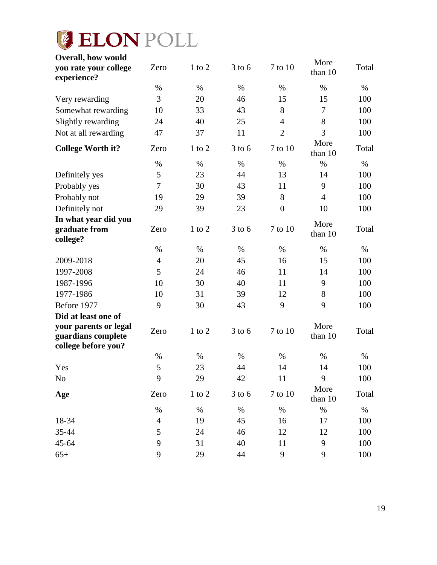# **C** ELON POLL

| <b>Overall, how would</b><br>you rate your college<br>experience?  | Zero           | $1$ to $2$ | $3$ to 6   | 7 to 10          | More<br>than 10 | Total |
|--------------------------------------------------------------------|----------------|------------|------------|------------------|-----------------|-------|
|                                                                    | %              | %          | $\%$       | $\%$             | $\%$            | $\%$  |
| Very rewarding                                                     | 3              | 20         | 46         | 15               | 15              | 100   |
| Somewhat rewarding                                                 | 10             | 33         | 43         | 8                | 7               | 100   |
| Slightly rewarding                                                 | 24             | 40         | 25         | $\overline{4}$   | 8               | 100   |
| Not at all rewarding                                               | 47             | 37         | 11         | $\overline{2}$   | 3               | 100   |
| <b>College Worth it?</b>                                           | Zero           | $1$ to $2$ | $3$ to 6   | 7 to 10          | More<br>than 10 | Total |
|                                                                    | %              | $\%$       | $\%$       | $\%$             | $\%$            | $\%$  |
| Definitely yes                                                     | 5              | 23         | 44         | 13               | 14              | 100   |
| Probably yes                                                       | 7              | 30         | 43         | 11               | 9               | 100   |
| Probably not                                                       | 19             | 29         | 39         | 8                | $\overline{4}$  | 100   |
| Definitely not                                                     | 29             | 39         | 23         | $\boldsymbol{0}$ | 10              | 100   |
| In what year did you<br>graduate from<br>college?                  | Zero           | $1$ to $2$ | $3$ to 6   | 7 to 10          | More<br>than 10 | Total |
|                                                                    | $\%$           | $\%$       | $\%$       | $\%$             | $\%$            | $\%$  |
| 2009-2018                                                          | $\overline{4}$ | 20         | 45         | 16               | 15              | 100   |
| 1997-2008                                                          | 5              | 24         | 46         | 11               | 14              | 100   |
| 1987-1996                                                          | 10             | 30         | 40         | 11               | 9               | 100   |
| 1977-1986                                                          | 10             | 31         | 39         | 12               | 8               | 100   |
| Before 1977                                                        | 9              | 30         | 43         | 9                | 9               | 100   |
| Did at least one of                                                |                |            |            |                  |                 |       |
| your parents or legal<br>guardians complete<br>college before you? | Zero           | $1$ to $2$ | $3$ to 6   | 7 to 10          | More<br>than 10 | Total |
|                                                                    | $\%$           | $\%$       | $\%$       | $\%$             | $\%$            | $\%$  |
| Yes                                                                | 5              | 23         | 44         | 14               | 14              | 100   |
| $\rm No$                                                           | 9              | 29         | $42\,$     | 11               | 9               | 100   |
| Age                                                                | Zero           | $1$ to $2$ | $3$ to $6$ | 7 to 10          | More<br>than 10 | Total |
|                                                                    | $\%$           | $\%$       | $\%$       | $\%$             | $\%$            | $\%$  |
| 18-34                                                              | $\overline{4}$ | 19         | 45         | 16               | 17              | 100   |
| 35-44                                                              | 5              | 24         | 46         | 12               | 12              | 100   |
| 45-64                                                              | 9              | 31         | 40         | 11               | 9               | 100   |
| $65+$                                                              | 9              | 29         | 44         | $\mathbf{9}$     | 9               | 100   |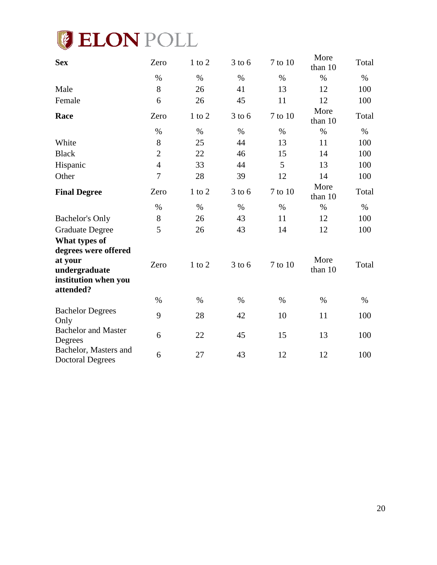

| <b>Sex</b>                                       | Zero           | $1$ to $2$ | $3$ to 6 | 7 to 10 | More<br>than 10 | Total |
|--------------------------------------------------|----------------|------------|----------|---------|-----------------|-------|
|                                                  | $\%$           | $\%$       | $\%$     | $\%$    | $\%$            | $\%$  |
| Male                                             | 8              | 26         | 41       | 13      | 12              | 100   |
| Female                                           | 6              | 26         | 45       | 11      | 12              | 100   |
| Race                                             | Zero           | $1$ to $2$ | $3$ to 6 | 7 to 10 | More<br>than 10 | Total |
|                                                  | $\%$           | $\%$       | $\%$     | $\%$    | $\%$            | $\%$  |
| White                                            | 8              | 25         | 44       | 13      | 11              | 100   |
| <b>Black</b>                                     | $\overline{2}$ | 22         | 46       | 15      | 14              | 100   |
| Hispanic                                         | $\overline{4}$ | 33         | 44       | 5       | 13              | 100   |
| Other                                            | $\overline{7}$ | 28         | 39       | 12      | 14              | 100   |
| <b>Final Degree</b>                              | Zero           | $1$ to $2$ | $3$ to 6 | 7 to 10 | More<br>than 10 | Total |
|                                                  | $\%$           | $\%$       | $\%$     | $\%$    | $\%$            | $\%$  |
| <b>Bachelor's Only</b>                           | 8              | 26         | 43       | 11      | 12              | 100   |
| <b>Graduate Degree</b>                           | 5              | 26         | 43       | 14      | 12              | 100   |
| What types of<br>degrees were offered            |                |            |          |         |                 |       |
| at your<br>undergraduate<br>institution when you | Zero           | $1$ to $2$ | $3$ to 6 | 7 to 10 | More<br>than 10 | Total |
| attended?                                        |                |            |          |         |                 |       |
|                                                  | $\%$           | $\%$       | $\%$     | $\%$    | $\%$            | %     |
| <b>Bachelor Degrees</b><br>Only                  | 9              | 28         | 42       | 10      | 11              | 100   |
| <b>Bachelor and Master</b><br>Degrees            | 6              | 22         | 45       | 15      | 13              | 100   |
| Bachelor, Masters and<br><b>Doctoral Degrees</b> | 6              | 27         | 43       | 12      | 12              | 100   |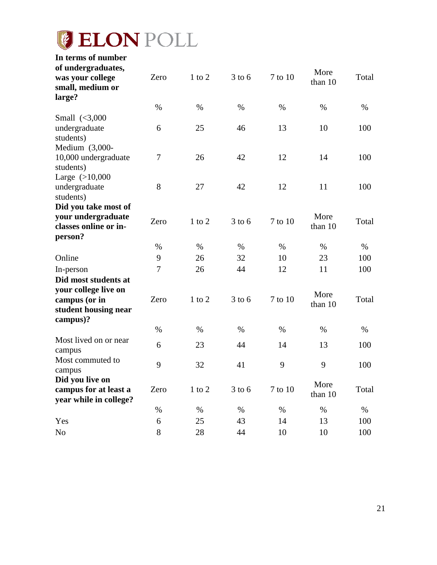# **ELON POLL**

| In terms of number                       |                |            |            |         |         |       |
|------------------------------------------|----------------|------------|------------|---------|---------|-------|
| of undergraduates,                       |                |            |            |         | More    |       |
| was your college                         | Zero           | $1$ to $2$ | $3$ to 6   | 7 to 10 | than 10 | Total |
| small, medium or                         |                |            |            |         |         |       |
| large?                                   |                |            |            |         |         |       |
|                                          | $\%$           | $\%$       | $\%$       | $\%$    | $\%$    | $\%$  |
| Small $\langle 3,000 \rangle$            |                |            |            |         |         |       |
| undergraduate                            | 6              | 25         | 46         | 13      | 10      | 100   |
| students)                                |                |            |            |         |         |       |
| Medium $(3,000-$<br>10,000 undergraduate | $\overline{7}$ | 26         | 42         | 12      | 14      | 100   |
| students)                                |                |            |            |         |         |       |
| Large $(>10,000$                         |                |            |            |         |         |       |
| undergraduate                            | 8              | 27         | 42         | 12      | 11      | 100   |
| students)                                |                |            |            |         |         |       |
| Did you take most of                     |                |            |            |         |         |       |
| your undergraduate                       |                |            |            |         | More    |       |
| classes online or in-                    | Zero           | $1$ to $2$ | $3$ to 6   | 7 to 10 | than 10 | Total |
| person?                                  |                |            |            |         |         |       |
|                                          | $\%$           | $\%$       | $\%$       | $\%$    | $\%$    | $\%$  |
| Online                                   | 9              | 26         | 32         | 10      | 23      | 100   |
| In-person                                | 7              | 26         | 44         | 12      | 11      | 100   |
| Did most students at                     |                |            |            |         |         |       |
| your college live on                     |                |            |            |         | More    |       |
| campus (or in                            | Zero           | $1$ to $2$ | $3$ to 6   | 7 to 10 | than 10 | Total |
| student housing near                     |                |            |            |         |         |       |
| campus)?                                 |                |            |            |         |         |       |
|                                          | $\%$           | $\%$       | $\%$       | $\%$    | $\%$    | $\%$  |
| Most lived on or near                    | 6              | 23         | 44         | 14      | 13      | 100   |
| campus                                   |                |            |            |         |         |       |
| Most commuted to                         | 9              | 32         | 41         | 9       | 9       | 100   |
| campus                                   |                |            |            |         |         |       |
| Did you live on                          |                |            |            |         | More    |       |
| campus for at least a                    | Zero           | $1$ to $2$ | $3$ to $6$ | 7 to 10 | than 10 | Total |
| year while in college?                   |                |            |            |         |         |       |
|                                          | %              | $\%$       | %          | %       | $\%$    | %     |
| Yes                                      | 6              | 25         | 43         | 14      | 13      | 100   |
| No                                       | 8              | 28         | 44         | 10      | 10      | 100   |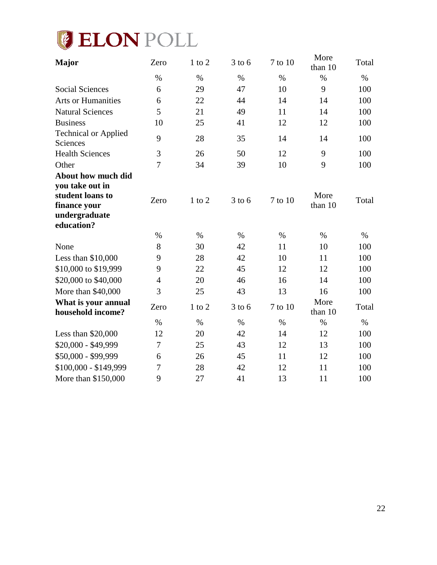

| <b>Major</b>                                                                       | Zero           | $1$ to $2$ | $3$ to 6 | 7 to 10 | More<br>than 10 | Total |
|------------------------------------------------------------------------------------|----------------|------------|----------|---------|-----------------|-------|
|                                                                                    | $\%$           | $\%$       | $\%$     | $\%$    | $\%$            | $\%$  |
| <b>Social Sciences</b>                                                             | 6              | 29         | 47       | 10      | 9               | 100   |
| <b>Arts or Humanities</b>                                                          | 6              | 22         | 44       | 14      | 14              | 100   |
| <b>Natural Sciences</b>                                                            | 5              | 21         | 49       | 11      | 14              | 100   |
| <b>Business</b>                                                                    | 10             | 25         | 41       | 12      | 12              | 100   |
| <b>Technical or Applied</b><br>Sciences                                            | 9              | 28         | 35       | 14      | 14              | 100   |
| <b>Health Sciences</b>                                                             | $\mathfrak{Z}$ | 26         | 50       | 12      | 9               | 100   |
| Other                                                                              | $\overline{7}$ | 34         | 39       | 10      | 9               | 100   |
| About how much did                                                                 |                |            |          |         |                 |       |
| you take out in<br>student loans to<br>finance your<br>undergraduate<br>education? | Zero           | $1$ to $2$ | $3$ to 6 | 7 to 10 | More<br>than 10 | Total |
|                                                                                    | $\%$           | $\%$       | $\%$     | $\%$    | $\%$            | $\%$  |
| None                                                                               | 8              | 30         | 42       | 11      | 10              | 100   |
| Less than \$10,000                                                                 | 9              | 28         | 42       | 10      | 11              | 100   |
| \$10,000 to \$19,999                                                               | 9              | 22         | 45       | 12      | 12              | 100   |
| \$20,000 to \$40,000                                                               | $\overline{4}$ | 20         | 46       | 16      | 14              | 100   |
| More than \$40,000                                                                 | 3              | 25         | 43       | 13      | 16              | 100   |
| What is your annual<br>household income?                                           | Zero           | $1$ to $2$ | $3$ to 6 | 7 to 10 | More<br>than 10 | Total |
|                                                                                    | $\%$           | $\%$       | $\%$     | $\%$    | $\%$            | $\%$  |
| Less than \$20,000                                                                 | 12             | 20         | 42       | 14      | 12              | 100   |
| \$20,000 - \$49,999                                                                | $\overline{7}$ | 25         | 43       | 12      | 13              | 100   |
| \$50,000 - \$99,999                                                                | 6              | 26         | 45       | 11      | 12              | 100   |
| $$100,000 - $149,999$                                                              | 7              | 28         | 42       | 12      | 11              | 100   |
| More than \$150,000                                                                | 9              | 27         | 41       | 13      | 11              | 100   |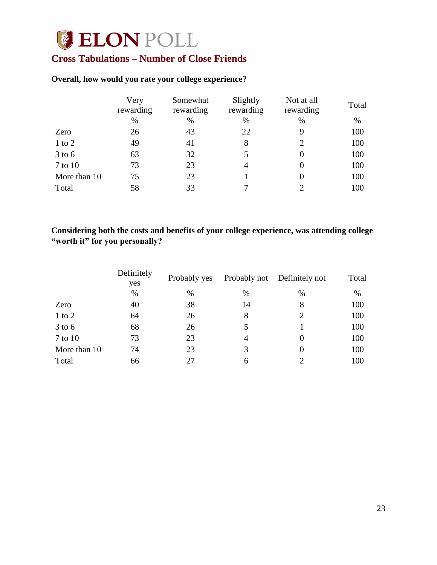# **CELON POLL**

# <span id="page-23-0"></span>**Cross Tabulations – Number of Close Friends**

#### **Overall, how would you rate your college experience?**

|              | Very<br>rewarding | Somewhat<br>rewarding | Slightly<br>rewarding | Not at all<br>rewarding | Total |
|--------------|-------------------|-----------------------|-----------------------|-------------------------|-------|
|              | $\%$              | %                     | $\%$                  | %                       | %     |
| Zero         | 26                | 43                    | 22                    | 9                       | 100   |
| $1$ to $2$   | 49                | 41                    | 8                     | 2                       | 100   |
| $3$ to 6     | 63                | 32                    | 5                     | $\theta$                | 100   |
| 7 to 10      | 73                | 23                    | 4                     |                         | 100   |
| More than 10 | 75                | 23                    |                       |                         | 100   |
| Total        | 58                | 33                    |                       |                         | 100   |

# **Considering both the costs and benefits of your college experience, was attending college "worth it" for you personally?**

|              | Definitely<br>yes | Probably yes |      | Probably not Definitely not | Total |
|--------------|-------------------|--------------|------|-----------------------------|-------|
|              | $\%$              | $\%$         | $\%$ | $\%$                        | %     |
| Zero         | 40                | 38           | 14   | 8                           | 100   |
| $1$ to $2$   | 64                | 26           | 8    | $\mathcal{D}_{\cdot}$       | 100   |
| $3$ to 6     | 68                | 26           |      |                             | 100   |
| 7 to 10      | 73                | 23           | 4    |                             | 100   |
| More than 10 | 74                | 23           | 3    |                             | 100   |
| Total        | 66                | 27           | 6    |                             | 100   |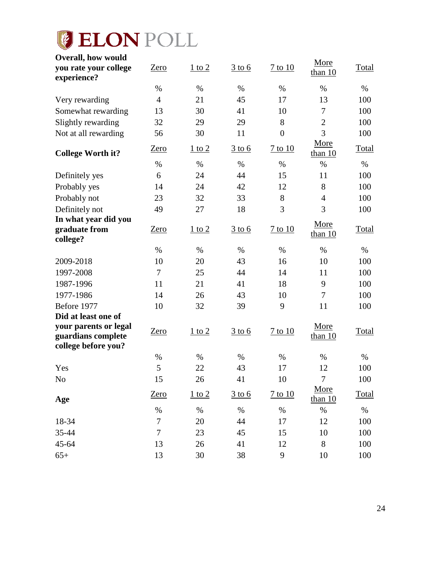# **CELON POLL**

| <b>Overall, how would</b><br>you rate your college                 | Zero                   | $1$ to $2$ | $\frac{3 \text{ to } 6}{2 \text{ to } 6}$ | 7 to 10          | More              | Total        |
|--------------------------------------------------------------------|------------------------|------------|-------------------------------------------|------------------|-------------------|--------------|
| experience?                                                        |                        |            |                                           |                  | than $10$         |              |
|                                                                    | %                      | $\%$       | $\%$                                      | $\%$             | $\%$              | $\%$         |
| Very rewarding                                                     | $\overline{4}$         | 21         | 45                                        | 17               | 13                | 100          |
| Somewhat rewarding                                                 | 13                     | 30         | 41                                        | 10               | $\tau$            | 100          |
| Slightly rewarding                                                 | 32                     | 29         | 29                                        | 8                | $\overline{2}$    | 100          |
| Not at all rewarding                                               | 56                     | 30         | 11                                        | $\boldsymbol{0}$ | 3                 | 100          |
| <b>College Worth it?</b>                                           | Zero                   | $1$ to $2$ | $\frac{3 \text{ to } 6}{2 \text{ to } 6}$ | $7$ to $10$      | More<br>than 10   | <b>Total</b> |
|                                                                    | %                      | $\%$       | $\%$                                      | $\%$             | $\%$              | %            |
| Definitely yes                                                     | 6                      | 24         | 44                                        | 15               | 11                | 100          |
| Probably yes                                                       | 14                     | 24         | 42                                        | 12               | 8                 | 100          |
| Probably not                                                       | 23                     | 32         | 33                                        | 8                | $\overline{4}$    | 100          |
| Definitely not                                                     | 49                     | 27         | 18                                        | 3                | 3                 | 100          |
| In what year did you                                               |                        |            |                                           |                  | More              |              |
| graduate from<br>college?                                          | Zero                   | $1$ to $2$ | $3$ to 6                                  | $7$ to $10$      | than $10$         | <b>Total</b> |
|                                                                    | $\%$                   | %          | $\%$                                      | $\%$             | $\%$              | %            |
| 2009-2018                                                          | 10                     | 20         | 43                                        | 16               | 10                | 100          |
| 1997-2008                                                          | 7                      | 25         | 44                                        | 14               | 11                | 100          |
| 1987-1996                                                          | 11                     | 21         | 41                                        | 18               | 9                 | 100          |
| 1977-1986                                                          | 14                     | 26         | 43                                        | 10               | $\tau$            | 100          |
| Before 1977                                                        | 10                     | 32         | 39                                        | 9                | 11                | 100          |
| Did at least one of                                                |                        |            |                                           |                  |                   |              |
| your parents or legal<br>guardians complete<br>college before you? | Zero                   | $1$ to $2$ | $\frac{3 \text{ to } 6}{2}$               | $7$ to $10$      | More<br>than $10$ | Total        |
|                                                                    | %                      | $\%$       | $\%$                                      | %                | $\%$              | $\%$         |
| Yes                                                                | 5                      | 22         | 43                                        | 17               | 12                | 100          |
| No                                                                 | 15                     | 26         | 41                                        | 10               | 7                 | 100          |
|                                                                    | Zero                   | $1$ to $2$ | $3$ to 6                                  | $7$ to $10$      | More              | Total        |
| Age                                                                |                        |            |                                           |                  | than $10$         |              |
|                                                                    | $\%$<br>$\overline{7}$ | $\%$       | $\%$                                      | $\%$             | $\%$              | $\%$         |
| 18-34<br>35-44                                                     | $\boldsymbol{7}$       | 20         | 44                                        | 17               | 12                | 100          |
| 45-64                                                              | 13                     | 23<br>26   | 45<br>41                                  | 15<br>12         | 10<br>8           | 100          |
|                                                                    |                        |            |                                           |                  |                   | 100          |
| $65+$                                                              | 13                     | 30         | 38                                        | 9                | 10                | 100          |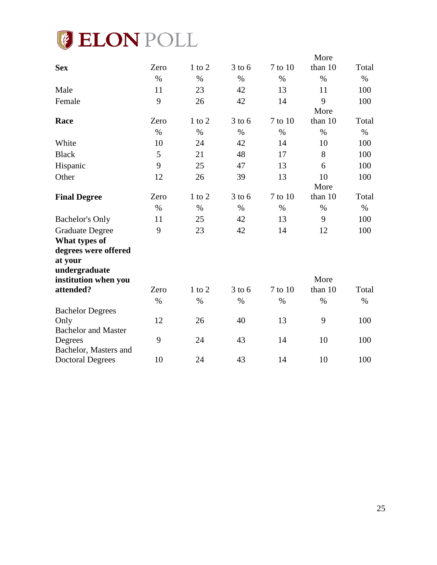

|                                    |      |               |            |         | More    |       |
|------------------------------------|------|---------------|------------|---------|---------|-------|
| <b>Sex</b>                         | Zero | $1$ to $2$    | $3$ to $6$ | 7 to 10 | than 10 | Total |
|                                    | $\%$ | $\%$          | $\%$       | $\%$    | $\%$    | $\%$  |
| Male                               | 11   | 23            | 42         | 13      | 11      | 100   |
| Female                             | 9    | 26            | 42         | 14      | 9       | 100   |
|                                    |      |               |            |         | More    |       |
| Race                               | Zero | $1$ to $2$    | $3$ to 6   | 7 to 10 | than 10 | Total |
|                                    | $\%$ | $\%$          | $\%$       | $\%$    | $\%$    | $\%$  |
| White                              | 10   | 24            | 42         | 14      | 10      | 100   |
| <b>Black</b>                       | 5    | 21            | 48         | 17      | 8       | 100   |
| Hispanic                           | 9    | 25            | 47         | 13      | 6       | 100   |
| Other                              | 12   | 26            | 39         | 13      | 10      | 100   |
|                                    |      |               |            |         | More    |       |
| <b>Final Degree</b>                | Zero | $1$ to $2\,$  | $3$ to 6   | 7 to 10 | than 10 | Total |
|                                    | $\%$ | $\%$          | $\%$       | $\%$    | $\%$    | $\%$  |
| <b>Bachelor's Only</b>             | 11   | 25            | 42         | 13      | 9       | 100   |
| <b>Graduate Degree</b>             | 9    | 23            | 42         | 14      | 12      | 100   |
| What types of                      |      |               |            |         |         |       |
| degrees were offered               |      |               |            |         |         |       |
| at your                            |      |               |            |         |         |       |
| undergraduate                      |      |               |            |         |         |       |
| institution when you               |      |               |            |         | More    |       |
| attended?                          | Zero | $1$ to $2$    | $3$ to 6   | 7 to 10 | than 10 | Total |
|                                    | $\%$ | $\frac{0}{0}$ | $\%$       | $\%$    | $\%$    | $\%$  |
| <b>Bachelor Degrees</b>            | 12   | 26            | 40         | 13      | 9       | 100   |
| Only<br><b>Bachelor and Master</b> |      |               |            |         |         |       |
| Degrees                            | 9    | 24            | 43         | 14      | 10      | 100   |
| Bachelor, Masters and              |      |               |            |         |         |       |
| <b>Doctoral Degrees</b>            | 10   | 24            | 43         | 14      | 10      | 100   |
|                                    |      |               |            |         |         |       |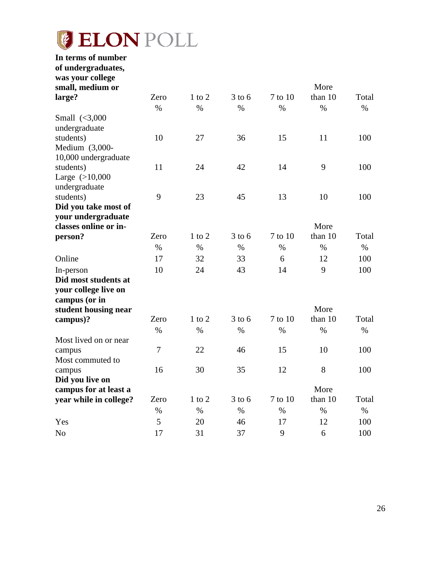# *I***B ELON POLL**

| In terms of number<br>of undergraduates, |      |            |            |         |         |       |
|------------------------------------------|------|------------|------------|---------|---------|-------|
| was your college                         |      |            |            |         |         |       |
| small, medium or                         |      |            |            |         | More    |       |
| large?                                   | Zero | $1$ to $2$ | $3$ to 6   | 7 to 10 | than 10 | Total |
|                                          | $\%$ | $\%$       | $\%$       | $\%$    | $\%$    | $\%$  |
| Small $\langle 3,000 \rangle$            |      |            |            |         |         |       |
| undergraduate                            |      |            |            |         |         |       |
| students)                                | 10   | 27         | 36         | 15      | 11      | 100   |
| Medium (3,000-                           |      |            |            |         |         |       |
| 10,000 undergraduate                     |      |            |            |         |         |       |
| students)                                | 11   | 24         | 42         | 14      | 9       | 100   |
| Large $(>10,000$                         |      |            |            |         |         |       |
| undergraduate                            |      |            |            |         |         |       |
| students)                                | 9    | 23         | 45         | 13      | 10      | 100   |
| Did you take most of                     |      |            |            |         |         |       |
| your undergraduate                       |      |            |            |         |         |       |
| classes online or in-                    |      |            |            |         | More    |       |
| person?                                  | Zero | $1$ to $2$ | $3$ to 6   | 7 to 10 | than 10 | Total |
|                                          | $\%$ | $\%$       | $\%$       | $\%$    | $\%$    | $\%$  |
| Online                                   | 17   | 32         | 33         | 6       | 12      | 100   |
| In-person                                | 10   | 24         | 43         | 14      | 9       | 100   |
| Did most students at                     |      |            |            |         |         |       |
| your college live on                     |      |            |            |         |         |       |
| campus (or in                            |      |            |            |         |         |       |
| student housing near                     |      |            |            |         | More    |       |
| campus)?                                 | Zero | $1$ to $2$ | $3$ to 6   | 7 to 10 | than 10 | Total |
|                                          | $\%$ | $\%$       | $\%$       | $\%$    | $\%$    | $\%$  |
| Most lived on or near                    |      |            |            |         |         |       |
| campus                                   | 7    | 22         | 46         | 15      | 10      | 100   |
| Most commuted to                         |      |            |            |         |         |       |
| campus                                   | 16   | 30         | 35         | 12      | 8       | 100   |
| Did you live on                          |      |            |            |         |         |       |
| campus for at least a                    |      |            |            |         | More    |       |
| year while in college?                   | Zero | $1$ to $2$ | $3$ to $6$ | 7 to 10 | than 10 | Total |
|                                          | $\%$ | $\%$       | $\%$       | $\%$    | $\%$    | $\%$  |
| Yes                                      | 5    | 20         | 46         | 17      | 12      | 100   |
| N <sub>o</sub>                           | 17   | 31         | 37         | 9       | 6       | 100   |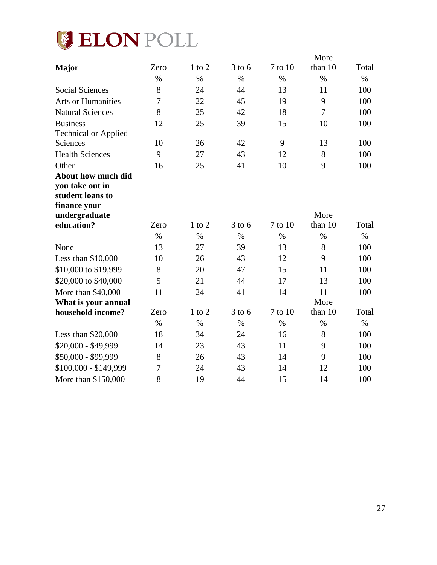

|                             |      |               |          |         | More            |       |
|-----------------------------|------|---------------|----------|---------|-----------------|-------|
| <b>Major</b>                | Zero | $1$ to $2$    | $3$ to 6 | 7 to 10 | than 10         | Total |
|                             | $\%$ | $\frac{0}{0}$ | $\%$     | $\%$    | $\%$            | $\%$  |
| <b>Social Sciences</b>      | 8    | 24            | 44       | 13      | 11              | 100   |
| <b>Arts or Humanities</b>   | 7    | 22            | 45       | 19      | 9               | 100   |
| <b>Natural Sciences</b>     | 8    | 25            | 42       | 18      | $\overline{7}$  | 100   |
| <b>Business</b>             | 12   | 25            | 39       | 15      | 10              | 100   |
| <b>Technical or Applied</b> |      |               |          |         |                 |       |
| Sciences                    | 10   | 26            | 42       | 9       | 13              | 100   |
| <b>Health Sciences</b>      | 9    | 27            | 43       | 12      | 8               | 100   |
| Other                       | 16   | 25            | 41       | 10      | 9               | 100   |
| About how much did          |      |               |          |         |                 |       |
| you take out in             |      |               |          |         |                 |       |
| student loans to            |      |               |          |         |                 |       |
| finance your                |      |               |          |         |                 |       |
| undergraduate<br>education? | Zero | $1$ to $2$    | $3$ to 6 | 7 to 10 | More<br>than 10 | Total |
|                             |      |               |          |         |                 |       |
|                             | $\%$ | $\%$          | $\%$     | $\%$    | $\%$            | $\%$  |
| None                        | 13   | 27            | 39       | 13      | 8               | 100   |
| Less than $$10,000$         | 10   | 26            | 43       | 12      | 9               | 100   |
| \$10,000 to \$19,999        | 8    | 20            | 47       | 15      | 11              | 100   |
| \$20,000 to \$40,000        | 5    | 21            | 44       | 17      | 13              | 100   |
| More than \$40,000          | 11   | 24            | 41       | 14      | 11              | 100   |
| What is your annual         |      |               |          |         | More            |       |
| household income?           | Zero | $1$ to $2$    | $3$ to 6 | 7 to 10 | than 10         | Total |
|                             | $\%$ | $\%$          | $\%$     | $\%$    | $\%$            | $\%$  |
| Less than $$20,000$         | 18   | 34            | 24       | 16      | 8               | 100   |
| \$20,000 - \$49,999         | 14   | 23            | 43       | 11      | 9               | 100   |
| \$50,000 - \$99,999         | 8    | 26            | 43       | 14      | 9               | 100   |
| $$100,000 - $149,999$       | 7    | 24            | 43       | 14      | 12              | 100   |
| More than \$150,000         | 8    | 19            | 44       | 15      | 14              | 100   |
|                             |      |               |          |         |                 |       |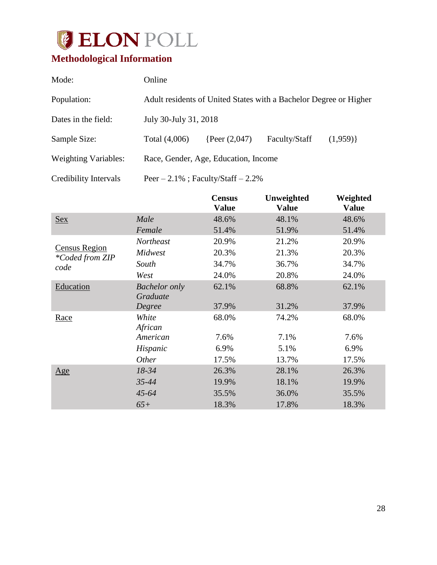

# <span id="page-28-0"></span>**Methodological Information**

| Mode:                       | Online                                                            |                                        |               |         |  |  |
|-----------------------------|-------------------------------------------------------------------|----------------------------------------|---------------|---------|--|--|
| Population:                 | Adult residents of United States with a Bachelor Degree or Higher |                                        |               |         |  |  |
| Dates in the field:         | July 30-July 31, 2018                                             |                                        |               |         |  |  |
| Sample Size:                | Total (4,006)                                                     | {Peer $(2,047)$ }                      | Faculty/Staff | (1,959) |  |  |
| <b>Weighting Variables:</b> |                                                                   | Race, Gender, Age, Education, Income   |               |         |  |  |
| Credibility Intervals       |                                                                   | Peer $-2.1\%$ ; Faculty/Staff $-2.2\%$ |               |         |  |  |

|                                                |                                  | <b>Census</b><br><b>Value</b> | Unweighted<br><b>Value</b> | Weighted<br><b>Value</b> |
|------------------------------------------------|----------------------------------|-------------------------------|----------------------------|--------------------------|
| <b>Sex</b>                                     | Male                             | 48.6%                         | 48.1%                      | 48.6%                    |
|                                                | Female                           | 51.4%                         | 51.9%                      | 51.4%                    |
|                                                | <b>Northeast</b>                 | 20.9%                         | 21.2%                      | 20.9%                    |
| <b>Census Region</b><br><i>*Coded from ZIP</i> | Midwest                          | 20.3%                         | 21.3%                      | 20.3%                    |
| code                                           | South                            | 34.7%                         | 36.7%                      | 34.7%                    |
|                                                | West                             | 24.0%                         | 20.8%                      | 24.0%                    |
| Education                                      | <b>Bachelor</b> only<br>Graduate | 62.1%                         | 68.8%                      | 62.1%                    |
|                                                | Degree                           | 37.9%                         | 31.2%                      | 37.9%                    |
| Race                                           | White<br>African                 | 68.0%                         | 74.2%                      | 68.0%                    |
|                                                | American                         | 7.6%                          | 7.1%                       | 7.6%                     |
|                                                | Hispanic                         | 6.9%                          | 5.1%                       | 6.9%                     |
|                                                | <i>Other</i>                     | 17.5%                         | 13.7%                      | 17.5%                    |
| $\underline{Age}$                              | 18-34                            | 26.3%                         | 28.1%                      | 26.3%                    |
|                                                | 35-44                            | 19.9%                         | 18.1%                      | 19.9%                    |
|                                                | $45 - 64$                        | 35.5%                         | 36.0%                      | 35.5%                    |
|                                                | $65+$                            | 18.3%                         | 17.8%                      | 18.3%                    |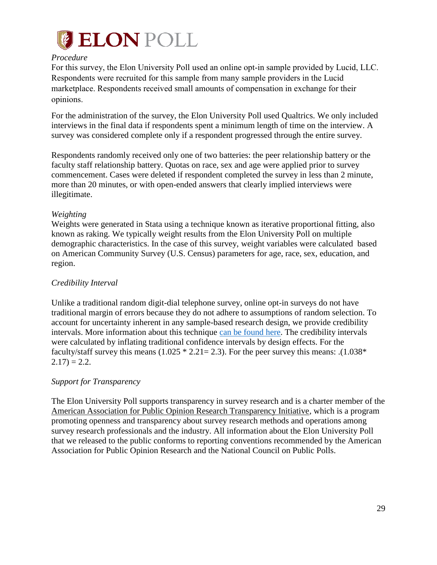

#### *Procedure*

For this survey, the Elon University Poll used an online opt-in sample provided by Lucid, LLC. Respondents were recruited for this sample from many sample providers in the Lucid marketplace. Respondents received small amounts of compensation in exchange for their opinions.

For the administration of the survey, the Elon University Poll used Qualtrics. We only included interviews in the final data if respondents spent a minimum length of time on the interview. A survey was considered complete only if a respondent progressed through the entire survey.

Respondents randomly received only one of two batteries: the peer relationship battery or the faculty staff relationship battery. Quotas on race, sex and age were applied prior to survey commencement. Cases were deleted if respondent completed the survey in less than 2 minute, more than 20 minutes, or with open-ended answers that clearly implied interviews were illegitimate.

#### *Weighting*

Weights were generated in Stata using a technique known as iterative proportional fitting, also known as raking. We typically weight results from the Elon University Poll on multiple demographic characteristics. In the case of this survey, weight variables were calculated based on American Community Survey (U.S. Census) parameters for age, race, sex, education, and region.

#### *Credibility Interval*

Unlike a traditional random digit-dial telephone survey, online opt-in surveys do not have traditional margin of errors because they do not adhere to assumptions of random selection. To account for uncertainty inherent in any sample-based research design, we provide credibility intervals. More information about this technique [can be found here.](https://www.aapor.org/Education-Resources/Election-Polling-Resources/Margin-of-Sampling-Error-Credibility-Interval.aspx) The credibility intervals were calculated by inflating traditional confidence intervals by design effects. For the faculty/staff survey this means  $(1.025 * 2.21 = 2.3)$ . For the peer survey this means: . $(1.038 *$  $2.17) = 2.2.$ 

#### *Support for Transparency*

The Elon University Poll supports transparency in survey research and is a charter member of the American Association for Public Opinion Research Transparency Initiative, which is a program promoting openness and transparency about survey research methods and operations among survey research professionals and the industry. All information about the Elon University Poll that we released to the public conforms to reporting conventions recommended by the American Association for Public Opinion Research and the National Council on Public Polls.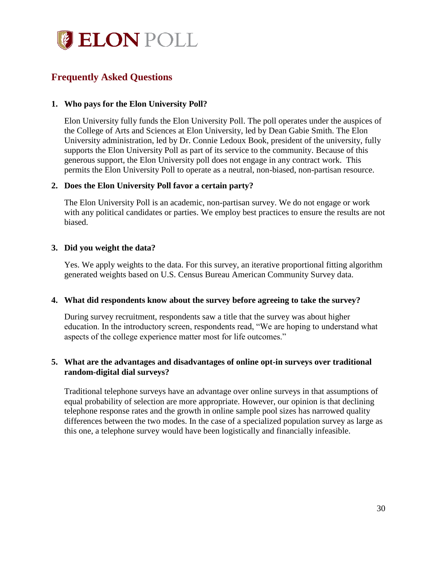

# <span id="page-30-0"></span>**Frequently Asked Questions**

#### **1. Who pays for the Elon University Poll?**

Elon University fully funds the Elon University Poll. The poll operates under the auspices of the College of Arts and Sciences at Elon University, led by Dean Gabie Smith. The Elon University administration, led by Dr. Connie Ledoux Book, president of the university, fully supports the Elon University Poll as part of its service to the community. Because of this generous support, the Elon University poll does not engage in any contract work. This permits the Elon University Poll to operate as a neutral, non-biased, non-partisan resource.

#### **2. Does the Elon University Poll favor a certain party?**

The Elon University Poll is an academic, non-partisan survey. We do not engage or work with any political candidates or parties. We employ best practices to ensure the results are not biased.

#### **3. Did you weight the data?**

Yes. We apply weights to the data. For this survey, an iterative proportional fitting algorithm generated weights based on U.S. Census Bureau American Community Survey data.

#### **4. What did respondents know about the survey before agreeing to take the survey?**

During survey recruitment, respondents saw a title that the survey was about higher education. In the introductory screen, respondents read, "We are hoping to understand what aspects of the college experience matter most for life outcomes."

#### **5. What are the advantages and disadvantages of online opt-in surveys over traditional random-digital dial surveys?**

Traditional telephone surveys have an advantage over online surveys in that assumptions of equal probability of selection are more appropriate. However, our opinion is that declining telephone response rates and the growth in online sample pool sizes has narrowed quality differences between the two modes. In the case of a specialized population survey as large as this one, a telephone survey would have been logistically and financially infeasible.